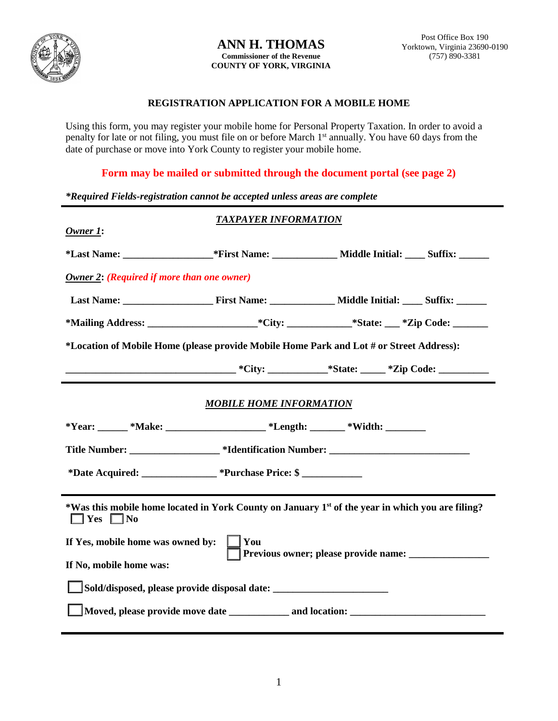

## **ANN H. THOMAS Commissioner of the Revenue COUNTY OF YORK, VIRGINIA**

## **REGISTRATION APPLICATION FOR A MOBILE HOME**

Using this form, you may register your mobile home for Personal Property Taxation. In order to avoid a penalty for late or not filing, you must file on or before March 1st annually. You have 60 days from the date of purchase or move into York County to register your mobile home.

**Form may be mailed or submitted through the document portal (see page 2)**

| *Required Fields-registration cannot be accepted unless areas are complete                                                           |                             |                                                                                   |  |
|--------------------------------------------------------------------------------------------------------------------------------------|-----------------------------|-----------------------------------------------------------------------------------|--|
| $O$ <i>wner</i> $1$ :                                                                                                                | <b>TAXPAYER INFORMATION</b> |                                                                                   |  |
|                                                                                                                                      |                             |                                                                                   |  |
| <b>Owner 2: (Required if more than one owner)</b>                                                                                    |                             |                                                                                   |  |
|                                                                                                                                      |                             |                                                                                   |  |
|                                                                                                                                      |                             |                                                                                   |  |
| *Location of Mobile Home (please provide Mobile Home Park and Lot # or Street Address):                                              |                             |                                                                                   |  |
|                                                                                                                                      |                             |                                                                                   |  |
| <b>MOBILE HOME INFORMATION</b>                                                                                                       |                             |                                                                                   |  |
| *Year: ______ *Make: ___________________ *Length: _______ *Width: ________                                                           |                             |                                                                                   |  |
|                                                                                                                                      |                             | Title Number: ____________________*Identification Number: _______________________ |  |
| *Date Acquired: _______________ *Purchase Price: \$                                                                                  |                             |                                                                                   |  |
| *Was this mobile home located in York County on January 1 <sup>st</sup> of the year in which you are filing?<br>$\Box$ Yes $\Box$ No |                             |                                                                                   |  |
| You<br>If Yes, mobile home was owned by:<br>Previous owner; please provide name: ___________                                         |                             |                                                                                   |  |
| If No, mobile home was:                                                                                                              |                             |                                                                                   |  |
| Sold/disposed, please provide disposal date: ___________________________________                                                     |                             |                                                                                   |  |
|                                                                                                                                      |                             |                                                                                   |  |